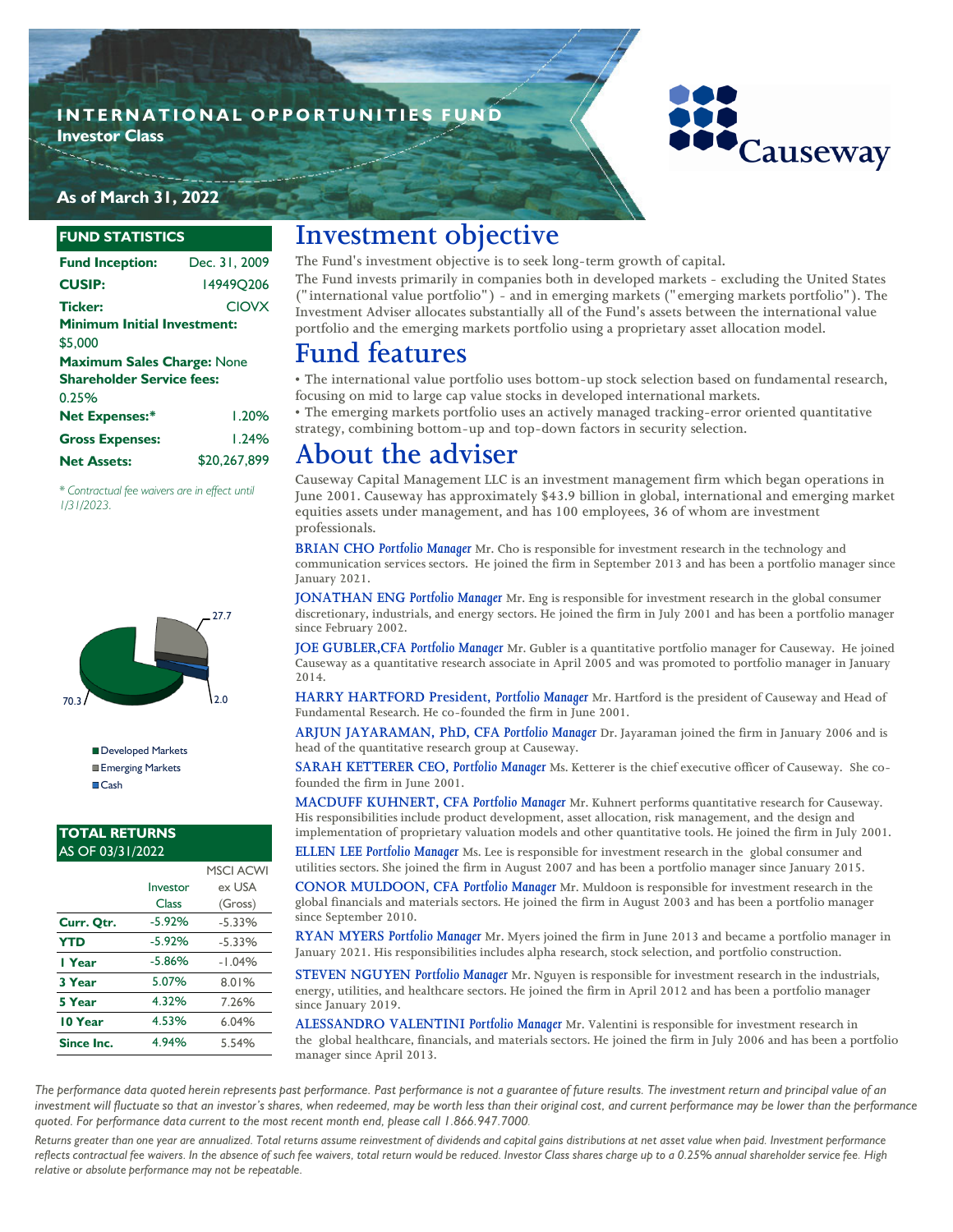#### **INTERNATIONAL OPPORTUNITIES FUND Investor Class**



### **As of March 31, 2022**

#### **FUND STATISTICS**

| <b>Fund Inception:</b>             | Dec. 31, 2009 |  |  |
|------------------------------------|---------------|--|--|
| <b>CUSIP:</b>                      | 14949Q206     |  |  |
| <b>Ticker:</b>                     | <b>CIOVX</b>  |  |  |
| <b>Minimum Initial Investment:</b> |               |  |  |
| \$5,000                            |               |  |  |
| Maximum Sales Charge: None         |               |  |  |
| <b>Shareholder Service fees:</b>   |               |  |  |
| 0 25%                              |               |  |  |
| <b>Net Expenses:*</b>              | 1.20%         |  |  |
| <b>Gross Expenses:</b>             | 1.24%         |  |  |
| <b>Net Assets:</b>                 | \$20,267.899  |  |  |

*\* Contractual fee waivers are in effect until 1/31/2023.*



Developed Markets Emerging Markets Cash

#### **TOTAL RETURNS**  AS OF 03/31/2022

|            |          | <b>MSCI ACWI</b> |  |
|------------|----------|------------------|--|
|            | Investor | ex USA           |  |
|            | Class    | (Gross)          |  |
| Curr. Qtr. | $-5.92%$ | $-5.33%$         |  |
| <b>YTD</b> | $-5.92%$ | $-5.33%$         |  |
| I Year     | $-5.86%$ | $-1.04%$         |  |
| 3 Year     | 5.07%    | 8.01%            |  |
| 5 Year     | 4.32%    | 7.26%            |  |
| 10 Year    | 4.53%    | 6.04%            |  |
| Since Inc. | 4.94%    | 5.54%            |  |

# **Investment objective**

**The Fund's investment objective is to seek long-term growth of capital.** 

**The Fund invests primarily in companies both in developed markets - excluding the United States ("international value portfolio") - and in emerging markets ("emerging markets portfolio"). The Investment Adviser allocates substantially all of the Fund's assets between the international value portfolio and the emerging markets portfolio using a proprietary asset allocation model.**

## **Fund features**

**• The international value portfolio uses bottom-up stock selection based on fundamental research, focusing on mid to large cap value stocks in developed international markets.**

**• The emerging markets portfolio uses an actively managed tracking-error oriented quantitative** 

**strategy, combining bottom-up and top-down factors in security selection.**

## **About the adviser**

**Causeway Capital Management LLC is an investment management firm which began operations in June 2001. Causeway has approximately \$43.9 billion in global, international and emerging market equities assets under management, and has 100 employees, 36 of whom are investment professionals.** 

**BRIAN CHO** *Portfolio Manager* **Mr. Cho is responsible for investment research in the technology and communication services sectors. He joined the firm in September 2013 and has been a portfolio manager since January 2021.** 

**JONATHAN ENG** *Portfolio Manager* **Mr. Eng is responsible for investment research in the global consumer discretionary, industrials, and energy sectors. He joined the firm in July 2001 and has been a portfolio manager since February 2002.** 

**JOE GUBLER,CFA** *Portfolio Manager* **Mr. Gubler is a quantitative portfolio manager for Causeway. He joined Causeway as a quantitative research associate in April 2005 and was promoted to portfolio manager in January 2014.**

**HARRY HARTFORD President,** *Portfolio Manager* **Mr. Hartford is the president of Causeway and Head of Fundamental Research. He co-founded the firm in June 2001.** 

**ARJUN JAYARAMAN, PhD, CFA** *Portfolio Manager* **Dr. Jayaraman joined the firm in January 2006 and is head of the quantitative research group at Causeway.**

**SARAH KETTERER CEO,** *Portfolio Manager* **Ms. Ketterer is the chief executive officer of Causeway. She cofounded the firm in June 2001.**

**MACDUFF KUHNERT, CFA** *Portfolio Manager* **Mr. Kuhnert performs quantitative research for Causeway. His responsibilities include product development, asset allocation, risk management, and the design and implementation of proprietary valuation models and other quantitative tools. He joined the firm in July 2001.**

**ELLEN LEE** *Portfolio Manager* **Ms. Lee is responsible for investment research in the global consumer and utilities sectors. She joined the firm in August 2007 and has been a portfolio manager since January 2015.** 

**CONOR MULDOON, CFA** *Portfolio Manager* **Mr. Muldoon is responsible for investment research in the global financials and materials sectors. He joined the firm in August 2003 and has been a portfolio manager since September 2010.**

**RYAN MYERS** *Portfolio Manager* **Mr. Myers joined the firm in June 2013 and became a portfolio manager in January 2021. His responsibilities includes alpha research, stock selection, and portfolio construction.** 

**STEVEN NGUYEN** *Portfolio Manager* **Mr. Nguyen is responsible for investment research in the industrials, energy, utilities, and healthcare sectors. He joined the firm in April 2012 and has been a portfolio manager since January 2019.** 

**ALESSANDRO VALENTINI** *Portfolio Manager* **Mr. Valentini is responsible for investment research in the global healthcare, financials, and materials sectors. He joined the firm in July 2006 and has been a portfolio manager since April 2013.**

*The performance data quoted herein represents past performance. Past performance is not a guarantee of future results. The investment return and principal value of an investment will fluctuate so that an investor's shares, when redeemed, may be worth less than their original cost, and current performance may be lower than the performance quoted. For performance data current to the most recent month end, please call 1.866.947.7000.* 

Returns greater than one year are annualized. Total returns assume reinvestment of dividends and capital gains distributions at net asset value when paid. Investment performance *reflects contractual fee waivers. In the absence of such fee waivers, total return would be reduced. Investor Class shares charge up to a 0.25% annual shareholder service fee. High relative or absolute performance may not be repeatable.*